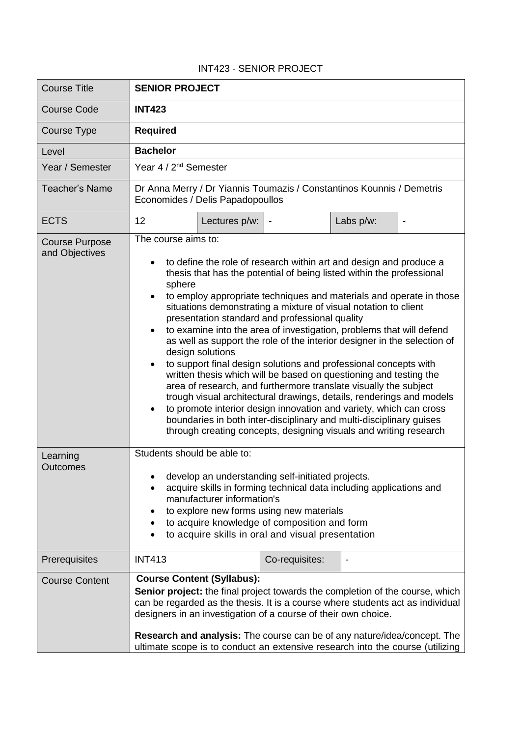## INT423 - SENIOR PROJECT

| <b>Course Title</b>                     | <b>SENIOR PROJECT</b>                                                                                                                                                                                                                                                                                                                                                                                                                                                                                                                                                                                                                                                                                                                                                                                                                                                                                                                                                                                                                                   |               |                |           |  |
|-----------------------------------------|---------------------------------------------------------------------------------------------------------------------------------------------------------------------------------------------------------------------------------------------------------------------------------------------------------------------------------------------------------------------------------------------------------------------------------------------------------------------------------------------------------------------------------------------------------------------------------------------------------------------------------------------------------------------------------------------------------------------------------------------------------------------------------------------------------------------------------------------------------------------------------------------------------------------------------------------------------------------------------------------------------------------------------------------------------|---------------|----------------|-----------|--|
| <b>Course Code</b>                      | <b>INT423</b>                                                                                                                                                                                                                                                                                                                                                                                                                                                                                                                                                                                                                                                                                                                                                                                                                                                                                                                                                                                                                                           |               |                |           |  |
| Course Type                             | <b>Required</b>                                                                                                                                                                                                                                                                                                                                                                                                                                                                                                                                                                                                                                                                                                                                                                                                                                                                                                                                                                                                                                         |               |                |           |  |
| Level                                   | <b>Bachelor</b>                                                                                                                                                                                                                                                                                                                                                                                                                                                                                                                                                                                                                                                                                                                                                                                                                                                                                                                                                                                                                                         |               |                |           |  |
| Year / Semester                         | Year 4 / 2 <sup>nd</sup> Semester                                                                                                                                                                                                                                                                                                                                                                                                                                                                                                                                                                                                                                                                                                                                                                                                                                                                                                                                                                                                                       |               |                |           |  |
| <b>Teacher's Name</b>                   | Dr Anna Merry / Dr Yiannis Toumazis / Constantinos Kounnis / Demetris<br>Economides / Delis Papadopoullos                                                                                                                                                                                                                                                                                                                                                                                                                                                                                                                                                                                                                                                                                                                                                                                                                                                                                                                                               |               |                |           |  |
| <b>ECTS</b>                             | 12                                                                                                                                                                                                                                                                                                                                                                                                                                                                                                                                                                                                                                                                                                                                                                                                                                                                                                                                                                                                                                                      | Lectures p/w: |                | Labs p/w: |  |
| <b>Course Purpose</b><br>and Objectives | The course aims to:<br>to define the role of research within art and design and produce a<br>thesis that has the potential of being listed within the professional<br>sphere<br>to employ appropriate techniques and materials and operate in those<br>situations demonstrating a mixture of visual notation to client<br>presentation standard and professional quality<br>to examine into the area of investigation, problems that will defend<br>as well as support the role of the interior designer in the selection of<br>design solutions<br>to support final design solutions and professional concepts with<br>written thesis which will be based on questioning and testing the<br>area of research, and furthermore translate visually the subject<br>trough visual architectural drawings, details, renderings and models<br>to promote interior design innovation and variety, which can cross<br>boundaries in both inter-disciplinary and multi-disciplinary guises<br>through creating concepts, designing visuals and writing research |               |                |           |  |
| Learning<br><b>Outcomes</b>             | Students should be able to:<br>develop an understanding self-initiated projects.<br>acquire skills in forming technical data including applications and<br>manufacturer information's<br>to explore new forms using new materials<br>to acquire knowledge of composition and form<br>$\bullet$<br>to acquire skills in oral and visual presentation<br>٠                                                                                                                                                                                                                                                                                                                                                                                                                                                                                                                                                                                                                                                                                                |               |                |           |  |
| Prerequisites                           | <b>INT413</b>                                                                                                                                                                                                                                                                                                                                                                                                                                                                                                                                                                                                                                                                                                                                                                                                                                                                                                                                                                                                                                           |               | Co-requisites: |           |  |
| <b>Course Content</b>                   | <b>Course Content (Syllabus):</b><br>Senior project: the final project towards the completion of the course, which<br>can be regarded as the thesis. It is a course where students act as individual<br>designers in an investigation of a course of their own choice.<br>Research and analysis: The course can be of any nature/idea/concept. The<br>ultimate scope is to conduct an extensive research into the course (utilizing                                                                                                                                                                                                                                                                                                                                                                                                                                                                                                                                                                                                                     |               |                |           |  |